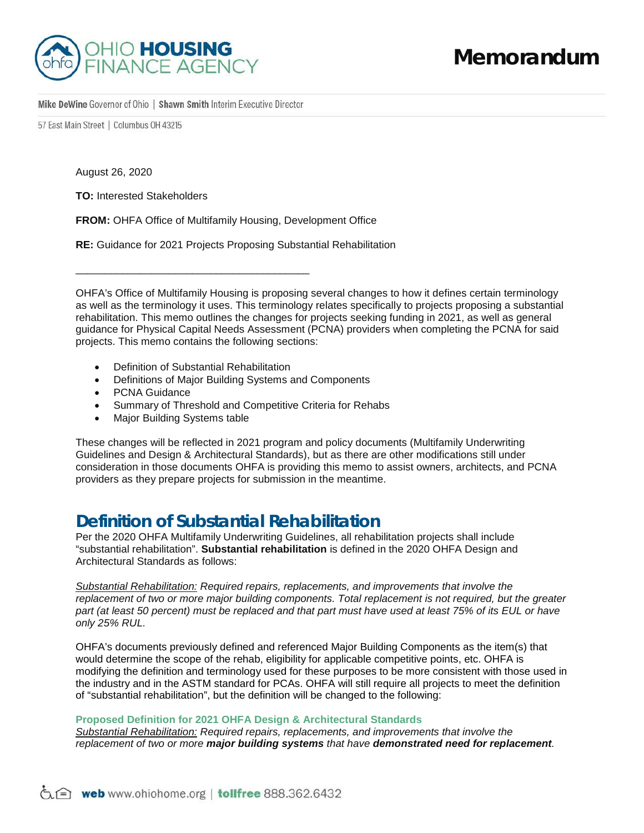

57 East Main Street | Columbus 0H 43215

August 26, 2020

**TO:** Interested Stakeholders

**FROM:** OHFA Office of Multifamily Housing, Development Office

**RE:** Guidance for 2021 Projects Proposing Substantial Rehabilitation

OHFA's Office of Multifamily Housing is proposing several changes to how it defines certain terminology as well as the terminology it uses. This terminology relates specifically to projects proposing a substantial rehabilitation. This memo outlines the changes for projects seeking funding in 2021, as well as general guidance for Physical Capital Needs Assessment (PCNA) providers when completing the PCNA for said projects. This memo contains the following sections:

• Definition of Substantial Rehabilitation

\_\_\_\_\_\_\_\_\_\_\_\_\_\_\_\_\_\_\_\_\_\_\_\_\_\_\_\_\_\_\_\_\_\_\_\_\_\_\_\_

- Definitions of Major Building Systems and Components
- PCNA Guidance
- Summary of Threshold and Competitive Criteria for Rehabs
- Major Building Systems table

These changes will be reflected in 2021 program and policy documents (Multifamily Underwriting Guidelines and Design & Architectural Standards), but as there are other modifications still under consideration in those documents OHFA is providing this memo to assist owners, architects, and PCNA providers as they prepare projects for submission in the meantime.

## **Definition of Substantial Rehabilitation**

Per the 2020 OHFA Multifamily Underwriting Guidelines, all rehabilitation projects shall include "substantial rehabilitation". **Substantial rehabilitation** is defined in the 2020 OHFA Design and Architectural Standards as follows:

*Substantial Rehabilitation: Required repairs, replacements, and improvements that involve the replacement of two or more major building components. Total replacement is not required, but the greater part (at least 50 percent) must be replaced and that part must have used at least 75% of its EUL or have only 25% RUL.*

OHFA's documents previously defined and referenced Major Building Components as the item(s) that would determine the scope of the rehab, eligibility for applicable competitive points, etc. OHFA is modifying the definition and terminology used for these purposes to be more consistent with those used in the industry and in the ASTM standard for PCAs. OHFA will still require all projects to meet the definition of "substantial rehabilitation", but the definition will be changed to the following:

### **Proposed Definition for 2021 OHFA Design & Architectural Standards**

*Substantial Rehabilitation: Required repairs, replacements, and improvements that involve the replacement of two or more major building systems that have demonstrated need for replacement.*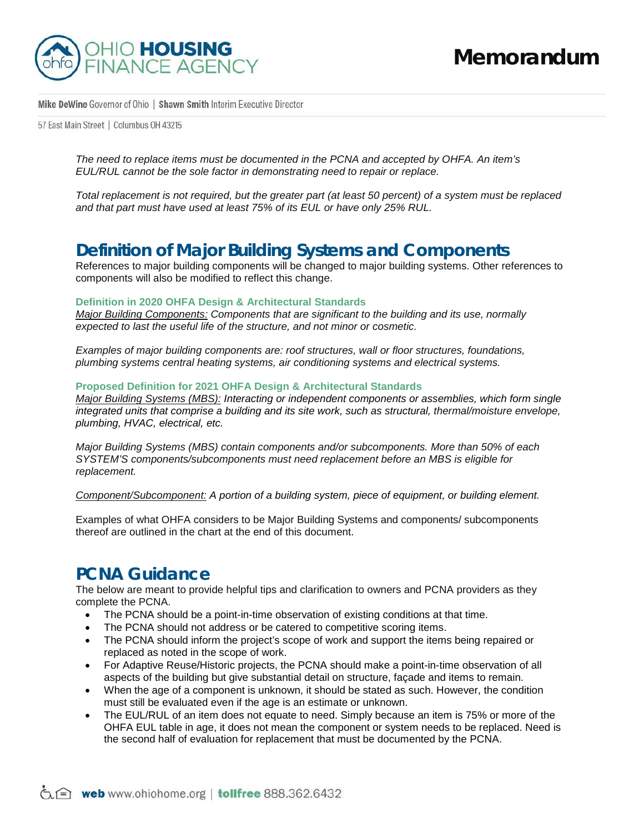

57 East Main Street | Columbus 0H 43215

*The need to replace items must be documented in the PCNA and accepted by OHFA. An item's EUL/RUL cannot be the sole factor in demonstrating need to repair or replace.* 

*Total replacement is not required, but the greater part (at least 50 percent) of a system must be replaced and that part must have used at least 75% of its EUL or have only 25% RUL.*

## **Definition of Major Building Systems and Components**

References to major building components will be changed to major building systems. Other references to components will also be modified to reflect this change.

#### **Definition in 2020 OHFA Design & Architectural Standards**

*Major Building Components: Components that are significant to the building and its use, normally expected to last the useful life of the structure, and not minor or cosmetic.* 

*Examples of major building components are: roof structures, wall or floor structures, foundations, plumbing systems central heating systems, air conditioning systems and electrical systems.*

#### **Proposed Definition for 2021 OHFA Design & Architectural Standards**

*Major Building Systems (MBS): Interacting or independent components or assemblies, which form single integrated units that comprise a building and its site work, such as structural, thermal/moisture envelope, plumbing, HVAC, electrical, etc.*

*Major Building Systems (MBS) contain components and/or subcomponents. More than 50% of each SYSTEM'S components/subcomponents must need replacement before an MBS is eligible for replacement.*

*Component/Subcomponent: A portion of a building system, piece of equipment, or building element.*

Examples of what OHFA considers to be Major Building Systems and components/ subcomponents thereof are outlined in the chart at the end of this document.

## **PCNA Guidance**

The below are meant to provide helpful tips and clarification to owners and PCNA providers as they complete the PCNA.

- The PCNA should be a point-in-time observation of existing conditions at that time.
- The PCNA should not address or be catered to competitive scoring items.
- The PCNA should inform the project's scope of work and support the items being repaired or replaced as noted in the scope of work.
- For Adaptive Reuse/Historic projects, the PCNA should make a point-in-time observation of all aspects of the building but give substantial detail on structure, façade and items to remain.
- When the age of a component is unknown, it should be stated as such. However, the condition must still be evaluated even if the age is an estimate or unknown.
- The EUL/RUL of an item does not equate to need. Simply because an item is 75% or more of the OHFA EUL table in age, it does not mean the component or system needs to be replaced. Need is the second half of evaluation for replacement that must be documented by the PCNA.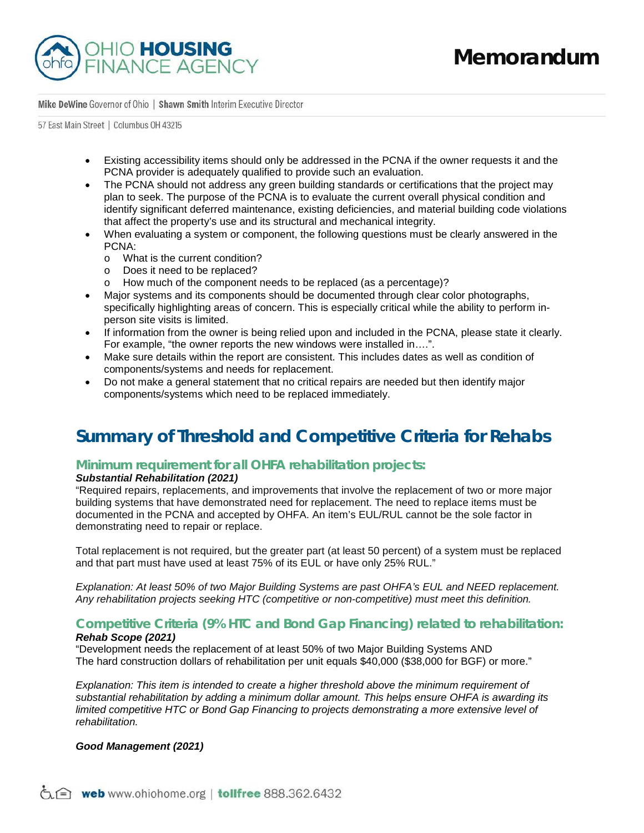

57 East Main Street | Columbus 0H 43215

- Existing accessibility items should only be addressed in the PCNA if the owner requests it and the PCNA provider is adequately qualified to provide such an evaluation.
- The PCNA should not address any green building standards or certifications that the project may plan to seek. The purpose of the PCNA is to evaluate the current overall physical condition and identify significant deferred maintenance, existing deficiencies, and material building code violations that affect the property's use and its structural and mechanical integrity.
- When evaluating a system or component, the following questions must be clearly answered in the PCNA:
	- o What is the current condition?
	- o Does it need to be replaced?
	- o How much of the component needs to be replaced (as a percentage)?
- Major systems and its components should be documented through clear color photographs, specifically highlighting areas of concern. This is especially critical while the ability to perform inperson site visits is limited.
- If information from the owner is being relied upon and included in the PCNA, please state it clearly. For example, "the owner reports the new windows were installed in….".
- Make sure details within the report are consistent. This includes dates as well as condition of components/systems and needs for replacement.
- Do not make a general statement that no critical repairs are needed but then identify major components/systems which need to be replaced immediately.

# **Summary of Threshold and Competitive Criteria for Rehabs**

### **Minimum requirement for all OHFA rehabilitation projects:**

### *Substantial Rehabilitation (2021)*

"Required repairs, replacements, and improvements that involve the replacement of two or more major building systems that have demonstrated need for replacement. The need to replace items must be documented in the PCNA and accepted by OHFA. An item's EUL/RUL cannot be the sole factor in demonstrating need to repair or replace.

Total replacement is not required, but the greater part (at least 50 percent) of a system must be replaced and that part must have used at least 75% of its EUL or have only 25% RUL."

*Explanation: At least 50% of two Major Building Systems are past OHFA's EUL and NEED replacement. Any rehabilitation projects seeking HTC (competitive or non-competitive) must meet this definition.* 

### **Competitive Criteria (9% HTC and Bond Gap Financing) related to rehabilitation:** *Rehab Scope (2021)*

"Development needs the replacement of at least 50% of two Major Building Systems AND The hard construction dollars of rehabilitation per unit equals \$40,000 (\$38,000 for BGF) or more."

*Explanation: This item is intended to create a higher threshold above the minimum requirement of substantial rehabilitation by adding a minimum dollar amount. This helps ensure OHFA is awarding its limited competitive HTC or Bond Gap Financing to projects demonstrating a more extensive level of rehabilitation.* 

### *Good Management (2021)*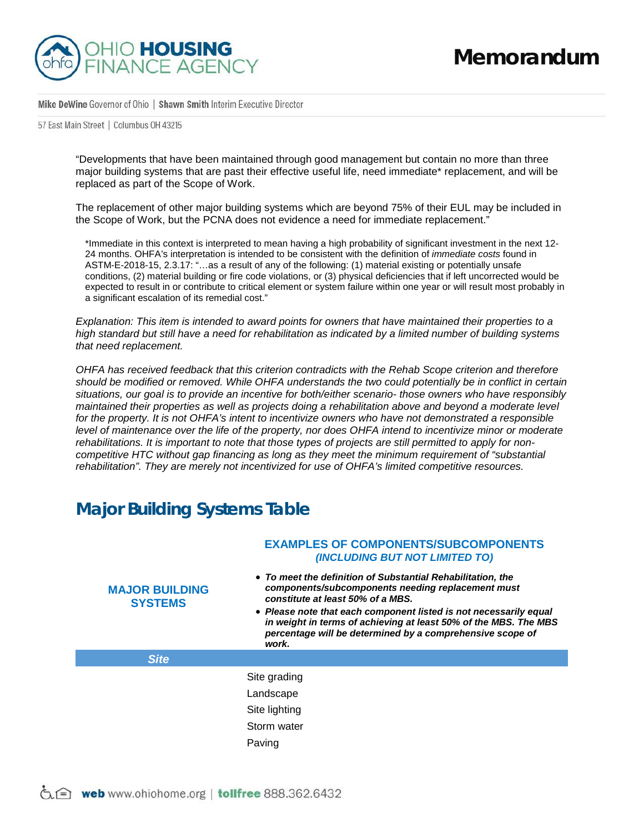

57 East Main Street | Columbus 0H 43215

"Developments that have been maintained through good management but contain no more than three major building systems that are past their effective useful life, need immediate\* replacement, and will be replaced as part of the Scope of Work.

The replacement of other major building systems which are beyond 75% of their EUL may be included in the Scope of Work, but the PCNA does not evidence a need for immediate replacement."

\*Immediate in this context is interpreted to mean having a high probability of significant investment in the next 12- 24 months. OHFA's interpretation is intended to be consistent with the definition of *immediate costs* found in ASTM-E-2018-15, 2.3.17: "…as a result of any of the following: (1) material existing or potentially unsafe conditions, (2) material building or fire code violations, or (3) physical deficiencies that if left uncorrected would be expected to result in or contribute to critical element or system failure within one year or will result most probably in a significant escalation of its remedial cost."

*Explanation: This item is intended to award points for owners that have maintained their properties to a high standard but still have a need for rehabilitation as indicated by a limited number of building systems that need replacement.* 

*OHFA has received feedback that this criterion contradicts with the Rehab Scope criterion and therefore should be modified or removed. While OHFA understands the two could potentially be in conflict in certain situations, our goal is to provide an incentive for both/either scenario- those owners who have responsibly maintained their properties as well as projects doing a rehabilitation above and beyond a moderate level for the property. It is not OHFA's intent to incentivize owners who have not demonstrated a responsible level of maintenance over the life of the property, nor does OHFA intend to incentivize minor or moderate rehabilitations. It is important to note that those types of projects are still permitted to apply for noncompetitive HTC without gap financing as long as they meet the minimum requirement of "substantial rehabilitation". They are merely not incentivized for use of OHFA's limited competitive resources.* 

# **Major Building Systems Table**

| <b>MAJOR BUILDING</b><br><b>SYSTEMS</b> | <b>EXAMPLES OF COMPONENTS/SUBCOMPONENTS</b><br>(INCLUDING BUT NOT LIMITED TO)<br>• To meet the definition of Substantial Rehabilitation, the<br>components/subcomponents needing replacement must<br>constitute at least 50% of a MBS.<br>• Please note that each component listed is not necessarily equal<br>in weight in terms of achieving at least 50% of the MBS. The MBS<br>percentage will be determined by a comprehensive scope of<br>work. |
|-----------------------------------------|-------------------------------------------------------------------------------------------------------------------------------------------------------------------------------------------------------------------------------------------------------------------------------------------------------------------------------------------------------------------------------------------------------------------------------------------------------|
| <b>Site</b>                             |                                                                                                                                                                                                                                                                                                                                                                                                                                                       |
|                                         | Site grading<br>Landscape<br>Site lighting<br>Storm water<br>Paving                                                                                                                                                                                                                                                                                                                                                                                   |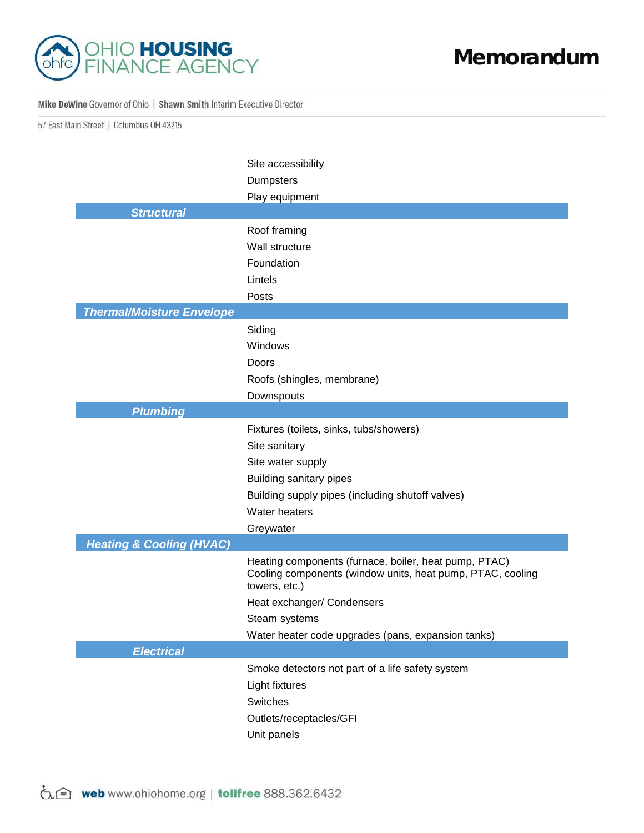

57 East Main Street | Columbus 0H 43215

|                                     | Site accessibility<br><b>Dumpsters</b>                                                                                               |
|-------------------------------------|--------------------------------------------------------------------------------------------------------------------------------------|
|                                     | Play equipment                                                                                                                       |
| <b>Structural</b>                   |                                                                                                                                      |
|                                     | Roof framing                                                                                                                         |
|                                     | Wall structure                                                                                                                       |
|                                     | Foundation                                                                                                                           |
|                                     | Lintels                                                                                                                              |
|                                     | Posts                                                                                                                                |
| <b>Thermal/Moisture Envelope</b>    |                                                                                                                                      |
|                                     | Siding                                                                                                                               |
|                                     | Windows                                                                                                                              |
|                                     | Doors                                                                                                                                |
|                                     | Roofs (shingles, membrane)                                                                                                           |
|                                     | Downspouts                                                                                                                           |
| <b>Plumbing</b>                     |                                                                                                                                      |
|                                     | Fixtures (toilets, sinks, tubs/showers)                                                                                              |
|                                     | Site sanitary                                                                                                                        |
|                                     | Site water supply                                                                                                                    |
|                                     | Building sanitary pipes                                                                                                              |
|                                     | Building supply pipes (including shutoff valves)                                                                                     |
|                                     | Water heaters                                                                                                                        |
|                                     | Greywater                                                                                                                            |
| <b>Heating &amp; Cooling (HVAC)</b> |                                                                                                                                      |
|                                     | Heating components (furnace, boiler, heat pump, PTAC)<br>Cooling components (window units, heat pump, PTAC, cooling<br>towers, etc.) |
|                                     | Heat exchanger/ Condensers                                                                                                           |
|                                     | Steam systems                                                                                                                        |
|                                     | Water heater code upgrades (pans, expansion tanks)                                                                                   |
| <b>Electrical</b>                   |                                                                                                                                      |
|                                     | Smoke detectors not part of a life safety system                                                                                     |
|                                     | Light fixtures                                                                                                                       |
|                                     | Switches                                                                                                                             |
|                                     | Outlets/receptacles/GFI                                                                                                              |
|                                     | Unit panels                                                                                                                          |